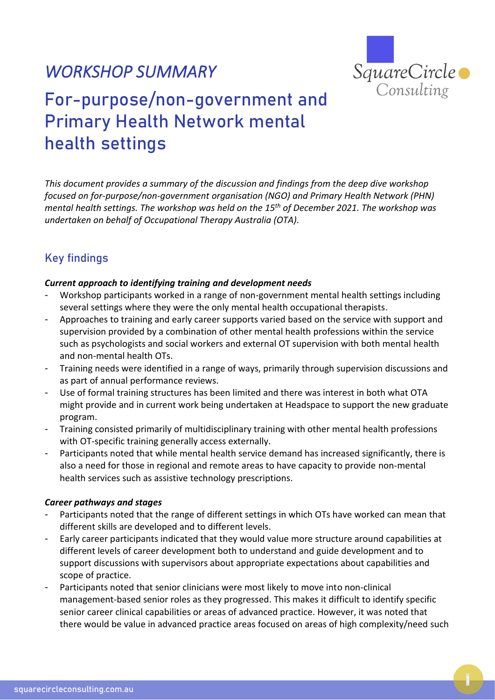## *WORKSHOP SUMMARY*



# For-purpose/non-government and Primary Health Network mental health settings

*This document provides a summary of the discussion and findings from the deep dive workshop focused on for-purpose/non-government organisation (NGO) and Primary Health Network (PHN) mental health settings. The workshop was held on the 15 th of December 2021. The workshop was undertaken on behalf of Occupational Therapy Australia (OTA).*

### Key findings

#### *Current approach to identifying training and development needs*

- Workshop participants worked in a range of non-government mental health settings including several settings where they were the only mental health occupational therapists.
- Approaches to training and early career supports varied based on the service with support and supervision provided by a combination of other mental health professions within the service such as psychologists and social workers and external OT supervision with both mental health and non-mental health OTs.
- Training needs were identified in a range of ways, primarily through supervision discussions and as part of annual performance reviews.
- Use of formal training structures has been limited and there was interest in both what OTA might provide and in current work being undertaken at Headspace to support the new graduate program.
- Training consisted primarily of multidisciplinary training with other mental health professions with OT-specific training generally access externally.
- Participants noted that while mental health service demand has increased significantly, there is also a need for those in regional and remote areas to have capacity to provide non-mental health services such as assistive technology prescriptions.

#### *Career pathways and stages*

- Participants noted that the range of different settings in which OTs have worked can mean that different skills are developed and to different levels.
- Early career participants indicated that they would value more structure around capabilities at different levels of career development both to understand and guide development and to support discussions with supervisors about appropriate expectations about capabilities and scope of practice.
- Participants noted that senior clinicians were most likely to move into non-clinical management-based senior roles as they progressed. This makes it difficult to identify specific senior career clinical capabilities or areas of advanced practice. However, it was noted that there would be value in advanced practice areas focused on areas of high complexity/need such